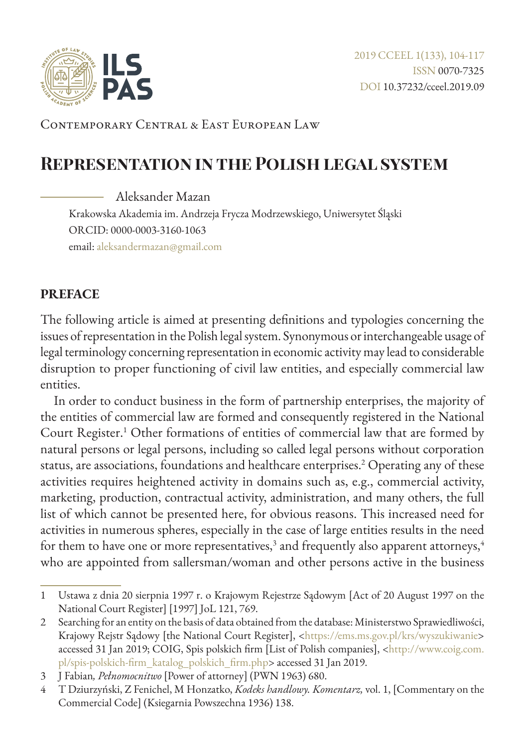

Contemporary Central & East European Law

# **Representation in the Polish legal system**

Aleksander Mazan

Krakowska Akademia im. Andrzeja Frycza Modrzewskiego, Uniwersytet Śląski ORCID: 0000-0003-3160-1063 email: aleksandermazan@gmail.com

#### **PREFACE**

The following article is aimed at presenting definitions and typologies concerning the issues of representation in the Polish legal system. Synonymous or interchangeable usage of legal terminology concerning representation in economic activity may lead to considerable disruption to proper functioning of civil law entities, and especially commercial law entities.

In order to conduct business in the form of partnership enterprises, the majority of the entities of commercial law are formed and consequently registered in the National Court Register.<sup>1</sup> Other formations of entities of commercial law that are formed by natural persons or legal persons, including so called legal persons without corporation status, are associations, foundations and healthcare enterprises.<sup>2</sup> Operating any of these activities requires heightened activity in domains such as, e.g., commercial activity, marketing, production, contractual activity, administration, and many others, the full list of which cannot be presented here, for obvious reasons. This increased need for activities in numerous spheres, especially in the case of large entities results in the need for them to have one or more representatives, $^3$  and frequently also apparent attorneys, $^4$ who are appointed from sallersman/woman and other persons active in the business

<sup>1</sup> Ustawa z dnia 20 sierpnia 1997 r. o Krajowym Rejestrze Sądowym [Act of 20 August 1997 on the National Court Register] [1997] JoL 121, 769.

<sup>2</sup> Searching for an entity on the basis of data obtained from the database: Ministerstwo Sprawiedliwości, Krajowy Rejstr Sądowy [the National Court Register], <<https://ems.ms.gov.pl/krs/wyszukiwanie>> accessed 31 Jan 2019; COIG, Spis polskich firm [List of Polish companies], <[http://www.coig.com.](http://www.coig.com.pl/spis-polskich-firm_katalog_polskich_firm.php) [pl/spis-polskich-firm\\_katalog\\_polskich\\_firm.php](http://www.coig.com.pl/spis-polskich-firm_katalog_polskich_firm.php)> accessed 31 Jan 2019.

<sup>3</sup> J Fabian*, Pełnomocnitwo* [Power of attorney] (PWN 1963) 680.

<sup>4</sup> T Dziurzyński, Z Fenichel, M Honzatko, *Kodeks handlowy. Komentarz,* vol. 1, [Commentary on the Commercial Code] (Ksiegarnia Powszechna 1936) 138.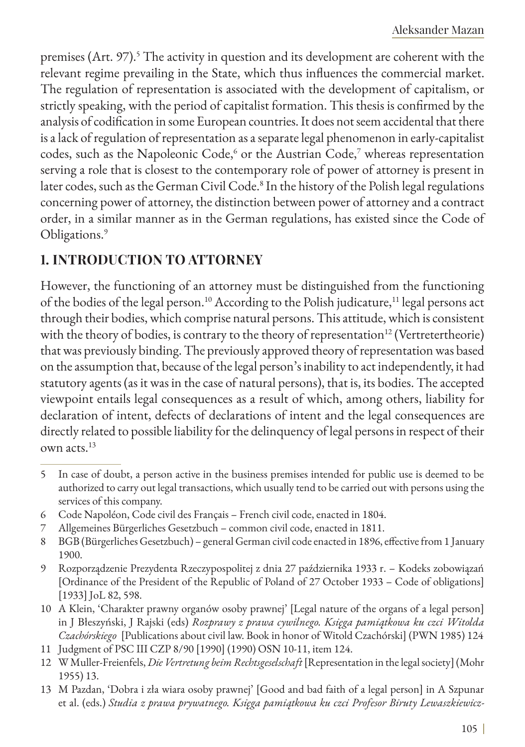premises (Art. 97).<sup>5</sup> The activity in question and its development are coherent with the relevant regime prevailing in the State, which thus influences the commercial market. The regulation of representation is associated with the development of capitalism, or strictly speaking, with the period of capitalist formation. This thesis is confirmed by the analysis of codification in some European countries. It does not seem accidental that there is a lack of regulation of representation as a separate legal phenomenon in early-capitalist codes, such as the Napoleonic Code, $\rm ^6$  or the Austrian Code, $\rm ^7$  whereas representation serving a role that is closest to the contemporary role of power of attorney is present in later codes, such as the German Civil Code.<sup>8</sup> In the history of the Polish legal regulations concerning power of attorney, the distinction between power of attorney and a contract order, in a similar manner as in the German regulations, has existed since the Code of Obligations.<sup>9</sup>

### **1. INTRODUCTION TO ATTORNEY**

However, the functioning of an attorney must be distinguished from the functioning of the bodies of the legal person.<sup>10</sup> According to the Polish judicature,<sup>11</sup> legal persons act through their bodies, which comprise natural persons. This attitude, which is consistent with the theory of bodies, is contrary to the theory of representation<sup>12</sup> (Vertretertheorie) that was previously binding. The previously approved theory of representation was based on the assumption that, because of the legal person's inability to act independently, it had statutory agents (as it was in the case of natural persons), that is, its bodies. The accepted viewpoint entails legal consequences as a result of which, among others, liability for declaration of intent, defects of declarations of intent and the legal consequences are directly related to possible liability for the delinquency of legal persons in respect of their own acts.<sup>13</sup>

- 5 In case of doubt, a person active in the business premises intended for public use is deemed to be authorized to carry out legal transactions, which usually tend to be carried out with persons using the services of this company.
- 6 Code Napoléon, Code civil des Français French civil code, enacted in 1804.
- 7 Allgemeines Bürgerliches Gesetzbuch common civil code, enacted in 1811.
- 8 BGB (Bürgerliches Gesetzbuch) general German civil code enacted in 1896, effective from 1 January 1900.
- 9 Rozporządzenie Prezydenta Rzeczypospolitej z dnia 27 października 1933 r. Kodeks zobowiązań [Ordinance of the President of the Republic of Poland of 27 October 1933 – Code of obligations] [1933] JoL 82, 598.
- 10 A Klein, 'Charakter prawny organów osoby prawnej' [Legal nature of the organs of a legal person] in J Błeszyński, J Rajski (eds) *Rozprawy z prawa cywilnego. Księga pamiątkowa ku czci Witolda Czachórskiego* [Publications about civil law. Book in honor of Witold Czachórski] (PWN 1985) 124
- 11 Judgment of PSC III CZP 8/90 [1990] (1990) OSN 10-11, item 124.
- 12 W Muller-Freienfels, *Die Vertretung beim Rechtsgeselschaft* [Representation in the legal society] (Mohr 1955) 13.
- 13 M Pazdan, 'Dobra i zła wiara osoby prawnej' [Good and bad faith of a legal person] in A Szpunar et al. (eds.) *Studia z prawa prywatnego. Księga pamiątkowa ku czci Profesor Biruty Lewaszkiewicz-*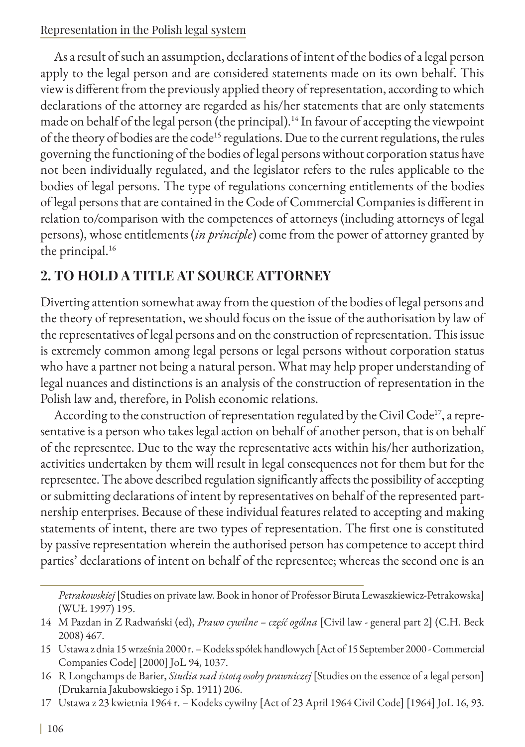As a result of such an assumption, declarations of intent of the bodies of a legal person apply to the legal person and are considered statements made on its own behalf. This view is different from the previously applied theory of representation, according to which declarations of the attorney are regarded as his/her statements that are only statements made on behalf of the legal person (the principal).<sup>14</sup> In favour of accepting the viewpoint of the theory of bodies are the code<sup>15</sup> regulations. Due to the current regulations, the rules governing the functioning of the bodies of legal persons without corporation status have not been individually regulated, and the legislator refers to the rules applicable to the bodies of legal persons. The type of regulations concerning entitlements of the bodies of legal persons that are contained in the Code of Commercial Companies is different in relation to/comparison with the competences of attorneys (including attorneys of legal persons), whose entitlements (*in principle*) come from the power of attorney granted by the principal.<sup>16</sup>

## **2. TO HOLD A TITLE AT SOURCE ATTORNEY**

Diverting attention somewhat away from the question of the bodies of legal persons and the theory of representation, we should focus on the issue of the authorisation by law of the representatives of legal persons and on the construction of representation. This issue is extremely common among legal persons or legal persons without corporation status who have a partner not being a natural person. What may help proper understanding of legal nuances and distinctions is an analysis of the construction of representation in the Polish law and, therefore, in Polish economic relations.

According to the construction of representation regulated by the Civil Code<sup>17</sup>, a representative is a person who takes legal action on behalf of another person, that is on behalf of the representee. Due to the way the representative acts within his/her authorization, activities undertaken by them will result in legal consequences not for them but for the representee. The above described regulation significantly affects the possibility of accepting or submitting declarations of intent by representatives on behalf of the represented partnership enterprises. Because of these individual features related to accepting and making statements of intent, there are two types of representation. The first one is constituted by passive representation wherein the authorised person has competence to accept third parties' declarations of intent on behalf of the representee; whereas the second one is an

*Petrakowskiej* [Studies on private law. Book in honor of Professor Biruta Lewaszkiewicz-Petrakowska] (WUŁ 1997) 195.

<sup>14</sup> M Pazdan in Z Radwański (ed), *Prawo cywilne – część ogólna* [Civil law - general part 2] (C.H. Beck 2008) 467.

<sup>15</sup> Ustawa z dnia 15 września 2000 r. – Kodeks spółek handlowych [Act of 15 September 2000 - Commercial Companies Code] [2000] JoL 94, 1037.

<sup>16</sup> R Longchamps de Barier, *Studia nad istotą osoby prawniczej* [Studies on the essence of a legal person] (Drukarnia Jakubowskiego i Sp. 1911) 206.

<sup>17</sup> Ustawa z 23 kwietnia 1964 r. – Kodeks cywilny [Act of 23 April 1964 Civil Code] [1964] JoL 16, 93.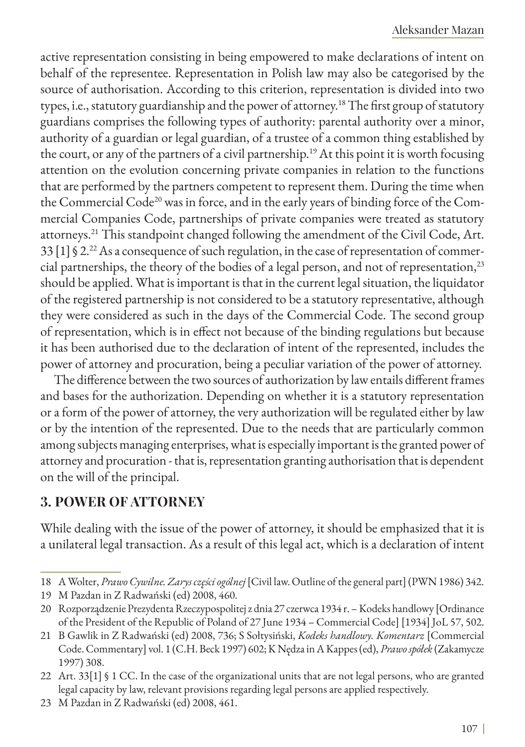active representation consisting in being empowered to make declarations of intent on behalf of the representee. Representation in Polish law may also be categorised by the source of authorisation. According to this criterion, representation is divided into two types, i.e., statutory guardianship and the power of attorney.18 The first group of statutory guardians comprises the following types of authority: parental authority over a minor, authority of a guardian or legal guardian, of a trustee of a common thing established by the court, or any of the partners of a civil partnership.<sup>19</sup> At this point it is worth focusing attention on the evolution concerning private companies in relation to the functions that are performed by the partners competent to represent them. During the time when the Commercial Code<sup>20</sup> was in force, and in the early years of binding force of the Commercial Companies Code, partnerships of private companies were treated as statutory attorneys.21 This standpoint changed following the amendment of the Civil Code, Art. 33  $[1]$  § 2.<sup>22</sup> As a consequence of such regulation, in the case of representation of commercial partnerships, the theory of the bodies of a legal person, and not of representation,<sup>23</sup> should be applied. What is important is that in the current legal situation, the liquidator of the registered partnership is not considered to be a statutory representative, although they were considered as such in the days of the Commercial Code. The second group of representation, which is in effect not because of the binding regulations but because it has been authorised due to the declaration of intent of the represented, includes the power of attorney and procuration, being a peculiar variation of the power of attorney.

The difference between the two sources of authorization by law entails different frames and bases for the authorization. Depending on whether it is a statutory representation or a form of the power of attorney, the very authorization will be regulated either by law or by the intention of the represented. Due to the needs that are particularly common among subjects managing enterprises, what is especially important is the granted power of attorney and procuration - that is, representation granting authorisation that is dependent on the will of the principal.

### **3. POWER OF ATTORNEY**

While dealing with the issue of the power of attorney, it should be emphasized that it is a unilateral legal transaction. As a result of this legal act, which is a declaration of intent

<sup>18</sup> A Wolter, *Prawo Cywilne. Zarys części ogólnej* [Civil law. Outline of the general part] (PWN 1986) 342.

<sup>19</sup> M Pazdan in Z Radwański (ed) 2008, 460.

<sup>20</sup> Rozporządzenie Prezydenta Rzeczypospolitej z dnia 27 czerwca 1934 r. – Kodeks handlowy [Ordinance of the President of the Republic of Poland of 27 June 1934 – Commercial Code] [1934] JoL 57, 502.

<sup>21</sup> B Gawlik in Z Radwański (ed) 2008, 736; S Sołtysiński, *Kodeks handlowy. Komentarz* [Commercial Code. Commentary] vol. 1 (C.H. Beck 1997) 602; K Nędza in A Kappes (ed), *Prawo spółek* (Zakamycze 1997) 308.

<sup>22</sup> Art. 33[1] § 1 CC. In the case of the organizational units that are not legal persons, who are granted legal capacity by law, relevant provisions regarding legal persons are applied respectively.

<sup>23</sup> M Pazdan in Z Radwański (ed) 2008, 461.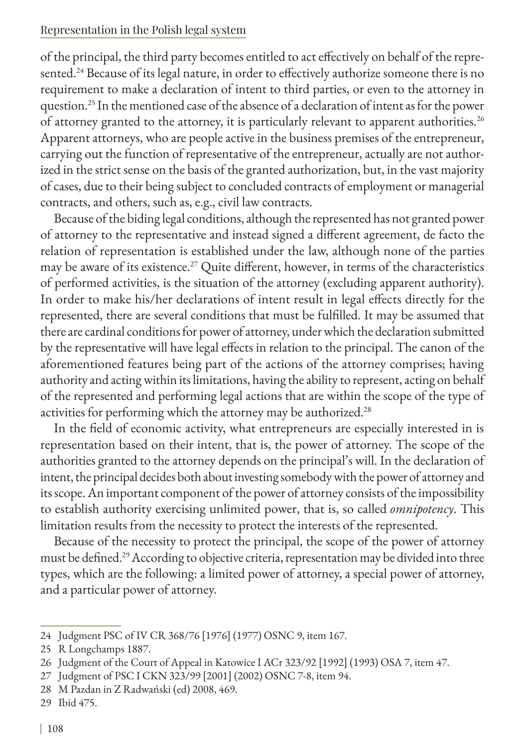of the principal, the third party becomes entitled to act effectively on behalf of the represented.<sup>24</sup> Because of its legal nature, in order to effectively authorize someone there is no requirement to make a declaration of intent to third parties, or even to the attorney in question.25 In the mentioned case of the absence of a declaration of intent as for the power of attorney granted to the attorney, it is particularly relevant to apparent authorities.<sup>26</sup> Apparent attorneys, who are people active in the business premises of the entrepreneur, carrying out the function of representative of the entrepreneur, actually are not authorized in the strict sense on the basis of the granted authorization, but, in the vast majority of cases, due to their being subject to concluded contracts of employment or managerial contracts, and others, such as, e.g., civil law contracts.

Because of the biding legal conditions, although the represented has not granted power of attorney to the representative and instead signed a different agreement, de facto the relation of representation is established under the law, although none of the parties may be aware of its existence.<sup>27</sup> Quite different, however, in terms of the characteristics of performed activities, is the situation of the attorney (excluding apparent authority). In order to make his/her declarations of intent result in legal effects directly for the represented, there are several conditions that must be fulfilled. It may be assumed that there are cardinal conditions for power of attorney, under which the declaration submitted by the representative will have legal effects in relation to the principal. The canon of the aforementioned features being part of the actions of the attorney comprises; having authority and acting within its limitations, having the ability to represent, acting on behalf of the represented and performing legal actions that are within the scope of the type of activities for performing which the attorney may be authorized.<sup>28</sup>

In the field of economic activity, what entrepreneurs are especially interested in is representation based on their intent, that is, the power of attorney. The scope of the authorities granted to the attorney depends on the principal's will. In the declaration of intent, the principal decides both about investing somebody with the power of attorney and its scope. An important component of the power of attorney consists of the impossibility to establish authority exercising unlimited power, that is, so called *omnipotency*. This limitation results from the necessity to protect the interests of the represented.

Because of the necessity to protect the principal, the scope of the power of attorney must be defined.29 According to objective criteria, representation may be divided into three types, which are the following: a limited power of attorney, a special power of attorney, and a particular power of attorney.

<sup>24</sup> Judgment PSC of IV CR 368/76 [1976] (1977) OSNC 9, item 167.

<sup>25</sup> R Longchamps 1887.

<sup>26</sup> Judgment of the Court of Appeal in Katowice I ACr 323/92 [1992] (1993) OSA 7, item 47.

<sup>27</sup> Judgment of PSC I CKN 323/99 [2001] (2002) OSNC 7-8, item 94.

<sup>28</sup> M Pazdan in Z Radwański (ed) 2008, 469.

<sup>29</sup> Ibid 475.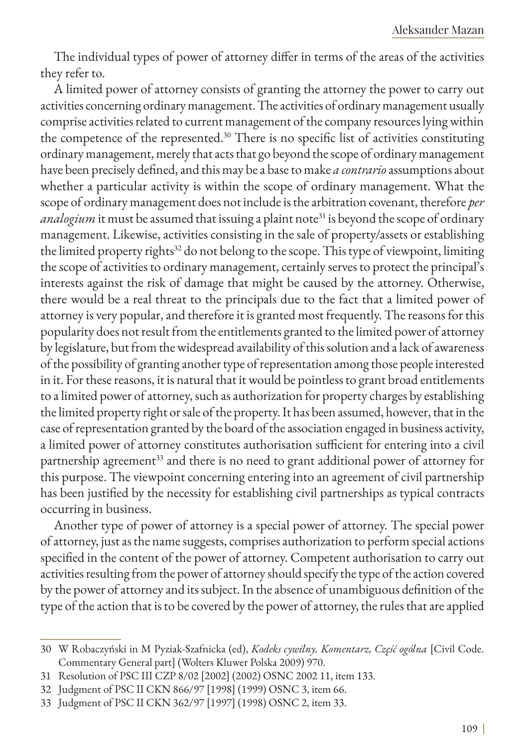The individual types of power of attorney differ in terms of the areas of the activities they refer to.

A limited power of attorney consists of granting the attorney the power to carry out activities concerning ordinary management. The activities of ordinary management usually comprise activities related to current management of the company resources lying within the competence of the represented.<sup>30</sup> There is no specific list of activities constituting ordinary management, merely that acts that go beyond the scope of ordinary management have been precisely defined, and this may be a base to make *a contrario* assumptions about whether a particular activity is within the scope of ordinary management. What the scope of ordinary management does not include is the arbitration covenant, therefore *per analogium* it must be assumed that issuing a plaint note<sup>31</sup> is beyond the scope of ordinary management. Likewise, activities consisting in the sale of property/assets or establishing the limited property rights<sup>32</sup> do not belong to the scope. This type of viewpoint, limiting the scope of activities to ordinary management, certainly serves to protect the principal's interests against the risk of damage that might be caused by the attorney. Otherwise, there would be a real threat to the principals due to the fact that a limited power of attorney is very popular, and therefore it is granted most frequently. The reasons for this popularity does not result from the entitlements granted to the limited power of attorney by legislature, but from the widespread availability of this solution and a lack of awareness of the possibility of granting another type of representation among those people interested in it. For these reasons, it is natural that it would be pointless to grant broad entitlements to a limited power of attorney, such as authorization for property charges by establishing the limited property right or sale of the property. It has been assumed, however, that in the case of representation granted by the board of the association engaged in business activity, a limited power of attorney constitutes authorisation sufficient for entering into a civil partnership agreement<sup>33</sup> and there is no need to grant additional power of attorney for this purpose. The viewpoint concerning entering into an agreement of civil partnership has been justified by the necessity for establishing civil partnerships as typical contracts occurring in business.

Another type of power of attorney is a special power of attorney. The special power of attorney, just as the name suggests, comprises authorization to perform special actions specified in the content of the power of attorney. Competent authorisation to carry out activities resulting from the power of attorney should specify the type of the action covered by the power of attorney and its subject. In the absence of unambiguous definition of the type of the action that is to be covered by the power of attorney, the rules that are applied

<sup>30</sup> W Robaczyński in M Pyziak-Szafnicka (ed), *Kodeks cywilny. Komentarz, Część ogólna* [Civil Code. Commentary General part] (Wolters Kluwer Polska 2009) 970.

<sup>31</sup> Resolution of PSC III CZP 8/02 [2002] (2002) OSNC 2002 11, item 133.

<sup>32</sup> Judgment of PSC II CKN 866/97 [1998] (1999) OSNC 3, item 66.

<sup>33</sup> Judgment of PSC II CKN 362/97 [1997] (1998) OSNC 2, item 33.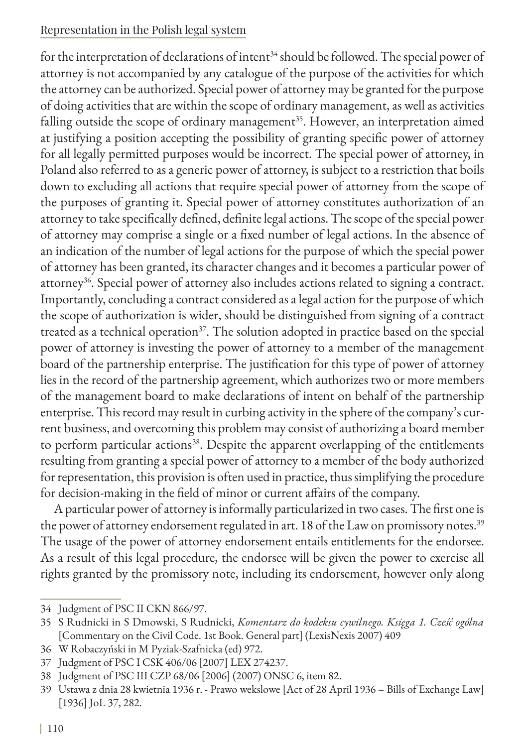for the interpretation of declarations of intent<sup>34</sup> should be followed. The special power of attorney is not accompanied by any catalogue of the purpose of the activities for which the attorney can be authorized. Special power of attorney may be granted for the purpose of doing activities that are within the scope of ordinary management, as well as activities falling outside the scope of ordinary management<sup>35</sup>. However, an interpretation aimed at justifying a position accepting the possibility of granting specific power of attorney for all legally permitted purposes would be incorrect. The special power of attorney, in Poland also referred to as a generic power of attorney, is subject to a restriction that boils down to excluding all actions that require special power of attorney from the scope of the purposes of granting it. Special power of attorney constitutes authorization of an attorney to take specifically defined, definite legal actions. The scope of the special power of attorney may comprise a single or a fixed number of legal actions. In the absence of an indication of the number of legal actions for the purpose of which the special power of attorney has been granted, its character changes and it becomes a particular power of attorney<sup>36</sup>. Special power of attorney also includes actions related to signing a contract. Importantly, concluding a contract considered as a legal action for the purpose of which the scope of authorization is wider, should be distinguished from signing of a contract treated as a technical operation<sup>37</sup>. The solution adopted in practice based on the special power of attorney is investing the power of attorney to a member of the management board of the partnership enterprise. The justification for this type of power of attorney lies in the record of the partnership agreement, which authorizes two or more members of the management board to make declarations of intent on behalf of the partnership enterprise. This record may result in curbing activity in the sphere of the company's current business, and overcoming this problem may consist of authorizing a board member to perform particular actions<sup>38</sup>. Despite the apparent overlapping of the entitlements resulting from granting a special power of attorney to a member of the body authorized for representation, this provision is often used in practice, thus simplifying the procedure for decision-making in the field of minor or current affairs of the company.

A particular power of attorney is informally particularized in two cases. The first one is the power of attorney endorsement regulated in art. 18 of the Law on promissory notes.<sup>39</sup> The usage of the power of attorney endorsement entails entitlements for the endorsee. As a result of this legal procedure, the endorsee will be given the power to exercise all rights granted by the promissory note, including its endorsement, however only along

<sup>34</sup> Judgment of PSC II CKN 866/97.

<sup>35</sup> S Rudnicki in S Dmowski, S Rudnicki, *Komentarz do kodeksu cywilnego. Księga 1. Cześć ogólna* [Commentary on the Civil Code. 1st Book. General part] (LexisNexis 2007) 409

<sup>36</sup> W Robaczyński in M Pyziak-Szafnicka (ed) 972.

<sup>37</sup> Judgment of PSC I CSK 406/06 [2007] LEX 274237.

<sup>38</sup> Judgment of PSC III CZP 68/06 [2006] (2007) ONSC 6, item 82.

<sup>39</sup> Ustawa z dnia 28 kwietnia 1936 r. - Prawo wekslowe [Act of 28 April 1936 – Bills of Exchange Law] [1936] JoL 37, 282.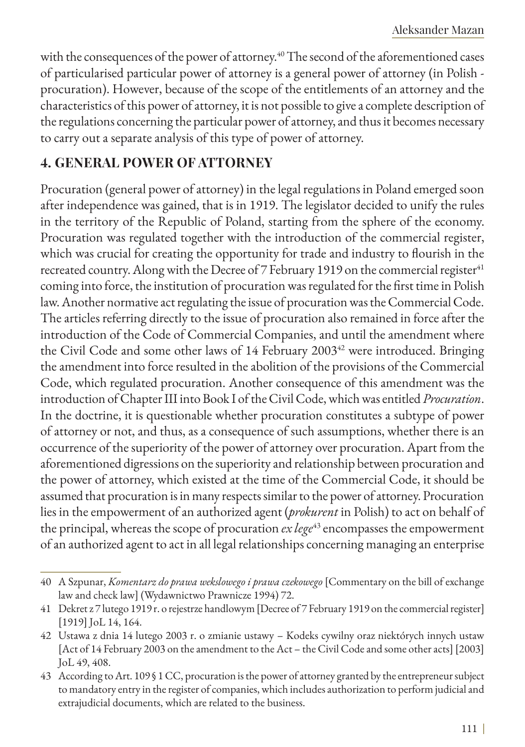with the consequences of the power of attorney.<sup>40</sup> The second of the aforementioned cases of particularised particular power of attorney is a general power of attorney (in Polish procuration). However, because of the scope of the entitlements of an attorney and the characteristics of this power of attorney, it is not possible to give a complete description of the regulations concerning the particular power of attorney, and thus it becomes necessary to carry out a separate analysis of this type of power of attorney.

### **4. GENERAL POWER OF ATTORNEY**

Procuration (general power of attorney) in the legal regulations in Poland emerged soon after independence was gained, that is in 1919. The legislator decided to unify the rules in the territory of the Republic of Poland, starting from the sphere of the economy. Procuration was regulated together with the introduction of the commercial register, which was crucial for creating the opportunity for trade and industry to flourish in the recreated country. Along with the Decree of 7 February 1919 on the commercial register $41$ coming into force, the institution of procuration was regulated for the first time in Polish law. Another normative act regulating the issue of procuration was the Commercial Code. The articles referring directly to the issue of procuration also remained in force after the introduction of the Code of Commercial Companies, and until the amendment where the Civil Code and some other laws of 14 February 2003<sup>42</sup> were introduced. Bringing the amendment into force resulted in the abolition of the provisions of the Commercial Code, which regulated procuration. Another consequence of this amendment was the introduction of Chapter III into Book I of the Civil Code, which was entitled *Procuration*. In the doctrine, it is questionable whether procuration constitutes a subtype of power of attorney or not, and thus, as a consequence of such assumptions, whether there is an occurrence of the superiority of the power of attorney over procuration. Apart from the aforementioned digressions on the superiority and relationship between procuration and the power of attorney, which existed at the time of the Commercial Code, it should be assumed that procuration is in many respects similar to the power of attorney. Procuration lies in the empowerment of an authorized agent (*prokurent* in Polish) to act on behalf of the principal, whereas the scope of procuration *ex lege*<sup>43</sup> encompasses the empowerment of an authorized agent to act in all legal relationships concerning managing an enterprise

<sup>40</sup> A Szpunar, *Komentarz do prawa wekslowego i prawa czekowego* [Commentary on the bill of exchange law and check law] (Wydawnictwo Prawnicze 1994) 72.

<sup>41</sup> Dekret z 7 lutego 1919 r. o rejestrze handlowym [Decree of 7 February 1919 on the commercial register] [1919] JoL 14, 164.

<sup>42</sup> Ustawa z dnia 14 lutego 2003 r. o zmianie ustawy – Kodeks cywilny oraz niektórych innych ustaw [Act of 14 February 2003 on the amendment to the Act – the Civil Code and some other acts] [2003] JoL 49, 408.

<sup>43</sup> According to Art. 109 § 1 CC, procuration is the power of attorney granted by the entrepreneur subject to mandatory entry in the register of companies, which includes authorization to perform judicial and extrajudicial documents, which are related to the business.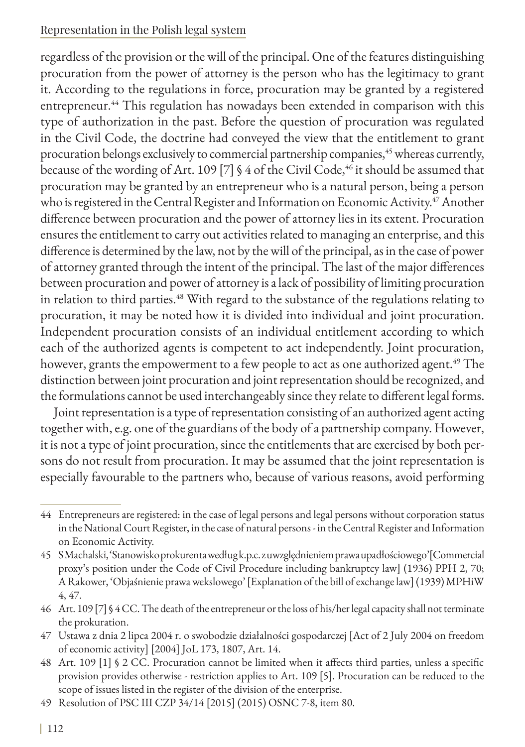regardless of the provision or the will of the principal. One of the features distinguishing procuration from the power of attorney is the person who has the legitimacy to grant it. According to the regulations in force, procuration may be granted by a registered entrepreneur.<sup>44</sup> This regulation has nowadays been extended in comparison with this type of authorization in the past. Before the question of procuration was regulated in the Civil Code, the doctrine had conveyed the view that the entitlement to grant procuration belongs exclusively to commercial partnership companies,<sup>45</sup> whereas currently, because of the wording of Art. 109 [7] § 4 of the Civil Code,<sup>46</sup> it should be assumed that procuration may be granted by an entrepreneur who is a natural person, being a person who is registered in the Central Register and Information on Economic Activity.<sup>47</sup> Another difference between procuration and the power of attorney lies in its extent. Procuration ensures the entitlement to carry out activities related to managing an enterprise, and this difference is determined by the law, not by the will of the principal, as in the case of power of attorney granted through the intent of the principal. The last of the major differences between procuration and power of attorney is a lack of possibility of limiting procuration in relation to third parties.<sup>48</sup> With regard to the substance of the regulations relating to procuration, it may be noted how it is divided into individual and joint procuration. Independent procuration consists of an individual entitlement according to which each of the authorized agents is competent to act independently. Joint procuration, however, grants the empowerment to a few people to act as one authorized agent.<sup>49</sup> The distinction between joint procuration and joint representation should be recognized, and the formulations cannot be used interchangeably since they relate to different legal forms.

Joint representation is a type of representation consisting of an authorized agent acting together with, e.g. one of the guardians of the body of a partnership company. However, it is not a type of joint procuration, since the entitlements that are exercised by both persons do not result from procuration. It may be assumed that the joint representation is especially favourable to the partners who, because of various reasons, avoid performing

<sup>44</sup> Entrepreneurs are registered: in the case of legal persons and legal persons without corporation status in the National Court Register, in the case of natural persons - in the Central Register and Information on Economic Activity.

<sup>45</sup> S Machalski, 'Stanowisko prokurenta według k.p.c. z uwzględnieniem prawa upadłościowego'[Commercial proxy's position under the Code of Civil Procedure including bankruptcy law] (1936) PPH 2, 70; A Rakower, 'Objaśnienie prawa wekslowego' [Explanation of the bill of exchange law] (1939) MPHiW 4, 47.

<sup>46</sup> Art. 109 [7] § 4 CC. The death of the entrepreneur or the loss of his/her legal capacity shall not terminate the prokuration.

<sup>47</sup> Ustawa z dnia 2 lipca 2004 r. o swobodzie działalności gospodarczej [Act of 2 July 2004 on freedom of economic activity] [2004] JoL 173, 1807, Art. 14.

<sup>48</sup> Art. 109 [1] § 2 CC. Procuration cannot be limited when it affects third parties, unless a specific provision provides otherwise - restriction applies to Art. 109 [5]. Procuration can be reduced to the scope of issues listed in the register of the division of the enterprise.

<sup>49</sup> Resolution of PSC III CZP 34/14 [2015] (2015) OSNC 7-8, item 80.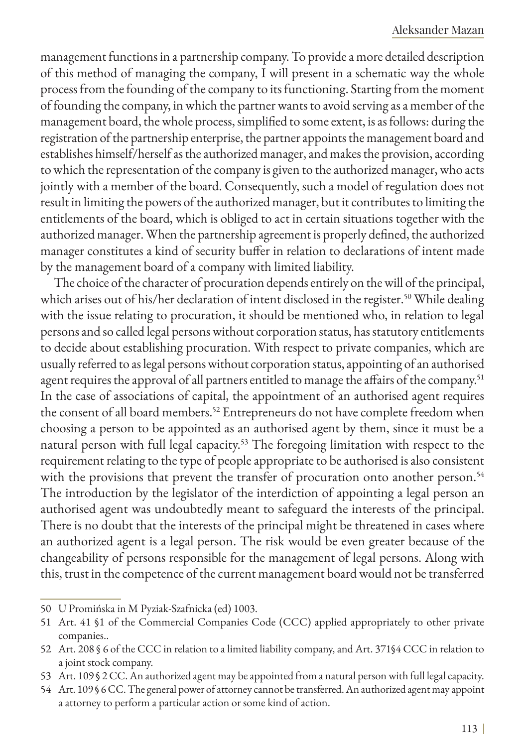management functions in a partnership company. To provide a more detailed description of this method of managing the company, I will present in a schematic way the whole process from the founding of the company to its functioning. Starting from the moment of founding the company, in which the partner wants to avoid serving as a member of the management board, the whole process, simplified to some extent, is as follows: during the registration of the partnership enterprise, the partner appoints the management board and establishes himself/herself as the authorized manager, and makes the provision, according to which the representation of the company is given to the authorized manager, who acts jointly with a member of the board. Consequently, such a model of regulation does not result in limiting the powers of the authorized manager, but it contributes to limiting the entitlements of the board, which is obliged to act in certain situations together with the authorized manager. When the partnership agreement is properly defined, the authorized manager constitutes a kind of security buffer in relation to declarations of intent made by the management board of a company with limited liability.

The choice of the character of procuration depends entirely on the will of the principal, which arises out of his/her declaration of intent disclosed in the register.<sup>50</sup> While dealing with the issue relating to procuration, it should be mentioned who, in relation to legal persons and so called legal persons without corporation status, has statutory entitlements to decide about establishing procuration. With respect to private companies, which are usually referred to as legal persons without corporation status, appointing of an authorised agent requires the approval of all partners entitled to manage the affairs of the company.<sup>51</sup> In the case of associations of capital, the appointment of an authorised agent requires the consent of all board members.<sup>52</sup> Entrepreneurs do not have complete freedom when choosing a person to be appointed as an authorised agent by them, since it must be a natural person with full legal capacity.<sup>53</sup> The foregoing limitation with respect to the requirement relating to the type of people appropriate to be authorised is also consistent with the provisions that prevent the transfer of procuration onto another person.<sup>54</sup> The introduction by the legislator of the interdiction of appointing a legal person an authorised agent was undoubtedly meant to safeguard the interests of the principal. There is no doubt that the interests of the principal might be threatened in cases where an authorized agent is a legal person. The risk would be even greater because of the changeability of persons responsible for the management of legal persons. Along with this, trust in the competence of the current management board would not be transferred

<sup>50</sup> U Promińska in M Pyziak-Szafnicka (ed) 1003.

<sup>51</sup> Art. 41 §1 of the Commercial Companies Code (CCC) applied appropriately to other private companies..

<sup>52</sup> Art. 208 § 6 of the CCC in relation to a limited liability company, and Art. 371§4 CCC in relation to a joint stock company.

<sup>53</sup> Art. 109 § 2 CC. An authorized agent may be appointed from a natural person with full legal capacity.

<sup>54</sup> Art. 109 § 6 CC. The general power of attorney cannot be transferred. An authorized agent may appoint a attorney to perform a particular action or some kind of action.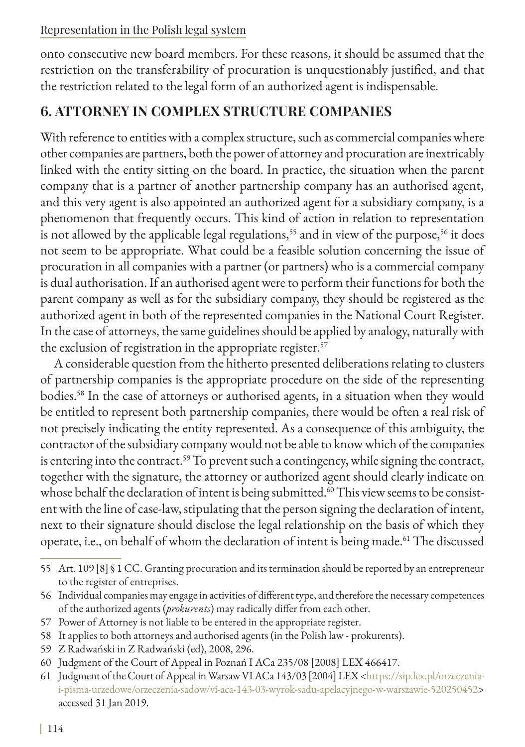onto consecutive new board members. For these reasons, it should be assumed that the restriction on the transferability of procuration is unquestionably justified, and that the restriction related to the legal form of an authorized agent is indispensable.

## **6. ATTORNEY IN COMPLEX STRUCTURE COMPANIES**

With reference to entities with a complex structure, such as commercial companies where other companies are partners, both the power of attorney and procuration are inextricably linked with the entity sitting on the board. In practice, the situation when the parent company that is a partner of another partnership company has an authorised agent, and this very agent is also appointed an authorized agent for a subsidiary company, is a phenomenon that frequently occurs. This kind of action in relation to representation is not allowed by the applicable legal regulations,<sup>55</sup> and in view of the purpose,<sup>56</sup> it does not seem to be appropriate. What could be a feasible solution concerning the issue of procuration in all companies with a partner (or partners) who is a commercial company is dual authorisation. If an authorised agent were to perform their functions for both the parent company as well as for the subsidiary company, they should be registered as the authorized agent in both of the represented companies in the National Court Register. In the case of attorneys, the same guidelines should be applied by analogy, naturally with the exclusion of registration in the appropriate register.<sup>57</sup>

A considerable question from the hitherto presented deliberations relating to clusters of partnership companies is the appropriate procedure on the side of the representing bodies.58 In the case of attorneys or authorised agents, in a situation when they would be entitled to represent both partnership companies, there would be often a real risk of not precisely indicating the entity represented. As a consequence of this ambiguity, the contractor of the subsidiary company would not be able to know which of the companies is entering into the contract.<sup>59</sup> To prevent such a contingency, while signing the contract, together with the signature, the attorney or authorized agent should clearly indicate on whose behalf the declaration of intent is being submitted.<sup>60</sup> This view seems to be consistent with the line of case-law, stipulating that the person signing the declaration of intent, next to their signature should disclose the legal relationship on the basis of which they operate, i.e., on behalf of whom the declaration of intent is being made.<sup>61</sup> The discussed

<sup>55</sup> Art. 109 [8] § 1 CC. Granting procuration and its termination should be reported by an entrepreneur to the register of entreprises.

<sup>56</sup> Individual companies may engage in activities of different type, and therefore the necessary competences of the authorized agents (*prokurents*) may radically differ from each other.

<sup>57</sup> Power of Attorney is not liable to be entered in the appropriate register.

<sup>58</sup> It applies to both attorneys and authorised agents (in the Polish law - prokurents).

<sup>59</sup> Z Radwański in Z Radwański (ed), 2008, 296.

<sup>60</sup> Judgment of the Court of Appeal in Poznań I ACa 235/08 [2008] LEX 466417.

<sup>61</sup> Judgment of the Court of Appeal in Warsaw VI ACa 143/03 [2004] LEX <[https://sip.lex.pl/orzeczenia](https://sip.lex.pl/orzeczenia-i-pisma-urzedowe/orzeczenia-sadow/vi-aca-143-03-wyrok-sadu-apelacyjnego-w-warszawie-520250452)[i-pisma-urzedowe/orzeczenia-sadow/vi-aca-143-03-wyrok-sadu-apelacyjnego-w-warszawie-520250452](https://sip.lex.pl/orzeczenia-i-pisma-urzedowe/orzeczenia-sadow/vi-aca-143-03-wyrok-sadu-apelacyjnego-w-warszawie-520250452)> accessed 31 Jan 2019.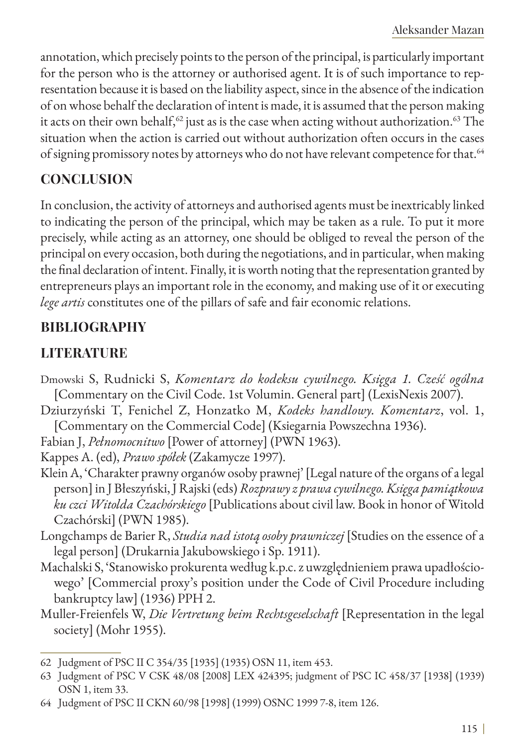annotation, which precisely points to the person of the principal, is particularly important for the person who is the attorney or authorised agent. It is of such importance to representation because it is based on the liability aspect, since in the absence of the indication of on whose behalf the declaration of intent is made, it is assumed that the person making it acts on their own behalf, $62$  just as is the case when acting without authorization.<sup>63</sup> The situation when the action is carried out without authorization often occurs in the cases of signing promissory notes by attorneys who do not have relevant competence for that.<sup>64</sup>

### **CONCLUSION**

In conclusion, the activity of attorneys and authorised agents must be inextricably linked to indicating the person of the principal, which may be taken as a rule. To put it more precisely, while acting as an attorney, one should be obliged to reveal the person of the principal on every occasion, both during the negotiations, and in particular, when making the final declaration of intent. Finally, it is worth noting that the representation granted by entrepreneurs plays an important role in the economy, and making use of it or executing *lege artis* constitutes one of the pillars of safe and fair economic relations.

## **BIBLIOGRAPHY**

## **LITERATURE**

- Dmowski S, Rudnicki S, *Komentarz do kodeksu cywilnego. Księga 1. Cześć ogólna* [Commentary on the Civil Code. 1st Volumin. General part] (LexisNexis 2007).
- Dziurzyński T, Fenichel Z, Honzatko M, *Kodeks handlowy. Komentarz*, vol. 1, [Commentary on the Commercial Code] (Ksiegarnia Powszechna 1936).
- Fabian J, *Pełnomocnitwo* [Power of attorney] (PWN 1963).

Kappes A. (ed), *Prawo spółek* (Zakamycze 1997).

- Klein A, 'Charakter prawny organów osoby prawnej' [Legal nature of the organs of a legal person] in J Błeszyński, J Rajski (eds) *Rozprawy z prawa cywilnego. Księga pamiątkowa ku czci Witolda Czachórskiego* [Publications about civil law. Book in honor of Witold Czachórski] (PWN 1985).
- Longchamps de Barier R, *Studia nad istotą osoby prawniczej* [Studies on the essence of a legal person] (Drukarnia Jakubowskiego i Sp. 1911).
- Machalski S, 'Stanowisko prokurenta według k.p.c. z uwzględnieniem prawa upadłościowego' [Commercial proxy's position under the Code of Civil Procedure including bankruptcy law] (1936) PPH 2.
- Muller-Freienfels W, *Die Vertretung beim Rechtsgeselschaft* [Representation in the legal society] (Mohr 1955).

<sup>62</sup> Judgment of PSC II C 354/35 [1935] (1935) OSN 11, item 453.

<sup>63</sup> Judgment of PSC V CSK 48/08 [2008] LEX 424395; judgment of PSC IC 458/37 [1938] (1939) OSN 1, item 33.

<sup>64</sup> Judgment of PSC II CKN 60/98 [1998] (1999) OSNC 1999 7-8, item 126.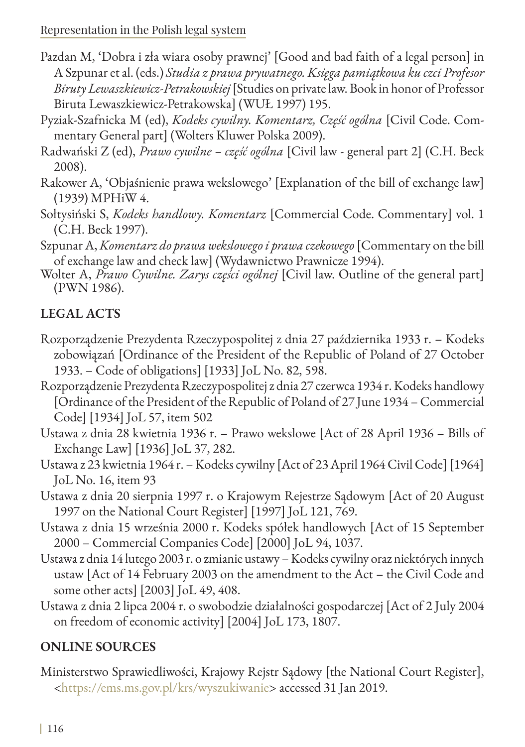- Pazdan M, 'Dobra i zła wiara osoby prawnej' [Good and bad faith of a legal person] in A Szpunar et al. (eds.) *Studia z prawa prywatnego. Księga pamiątkowa ku czci Profesor Biruty Lewaszkiewicz-Petrakowskiej* [Studies on private law. Book in honor of Professor Biruta Lewaszkiewicz-Petrakowska] (WUŁ 1997) 195.
- Pyziak-Szafnicka M (ed), *Kodeks cywilny. Komentarz, Część ogólna* [Civil Code. Commentary General part] (Wolters Kluwer Polska 2009).
- Radwański Z (ed), *Prawo cywilne część ogólna* [Civil law general part 2] (C.H. Beck 2008).
- Rakower A, 'Objaśnienie prawa wekslowego' [Explanation of the bill of exchange law] (1939) MPHiW 4.
- Sołtysiński S, *Kodeks handlowy. Komentarz* [Commercial Code. Commentary] vol. 1 (C.H. Beck 1997).
- Szpunar A, *Komentarz do prawa wekslowego i prawa czekowego* [Commentary on the bill
- of exchange law and check law] (Wydawnictwo Prawnicze 1994). Wolter A, *Prawo Cywilne. Zarys części ogólnej* [Civil law. Outline of the general part] (PWN 1986).

## **LEGAL ACTS**

- Rozporządzenie Prezydenta Rzeczypospolitej z dnia 27 października 1933 r. Kodeks zobowiązań [Ordinance of the President of the Republic of Poland of 27 October 1933. – Code of obligations] [1933] JoL No. 82, 598.
- Rozporządzenie Prezydenta Rzeczypospolitej z dnia 27 czerwca 1934 r. Kodeks handlowy [Ordinance of the President of the Republic of Poland of 27 June 1934 – Commercial Code] [1934] JoL 57, item 502
- Ustawa z dnia 28 kwietnia 1936 r. Prawo wekslowe [Act of 28 April 1936 Bills of Exchange Law] [1936] JoL 37, 282.
- Ustawa z 23 kwietnia 1964 r. Kodeks cywilny [Act of 23 April 1964 Civil Code] [1964] JoL No. 16, item 93
- Ustawa z dnia 20 sierpnia 1997 r. o Krajowym Rejestrze Sądowym [Act of 20 August 1997 on the National Court Register] [1997] JoL 121, 769.
- Ustawa z dnia 15 września 2000 r. Kodeks spółek handlowych [Act of 15 September 2000 – Commercial Companies Code] [2000] JoL 94, 1037.
- Ustawa z dnia 14 lutego 2003 r. o zmianie ustawy Kodeks cywilny oraz niektórych innych ustaw [Act of 14 February 2003 on the amendment to the Act – the Civil Code and some other acts] [2003] JoL 49, 408.
- Ustawa z dnia 2 lipca 2004 r. o swobodzie działalności gospodarczej [Act of 2 July 2004 on freedom of economic activity] [2004] JoL 173, 1807.

## **ONLINE SOURCES**

Ministerstwo Sprawiedliwości, Krajowy Rejstr Sądowy [the National Court Register], <https://ems.ms.gov.pl/krs/wyszukiwanie> accessed 31 Jan 2019.